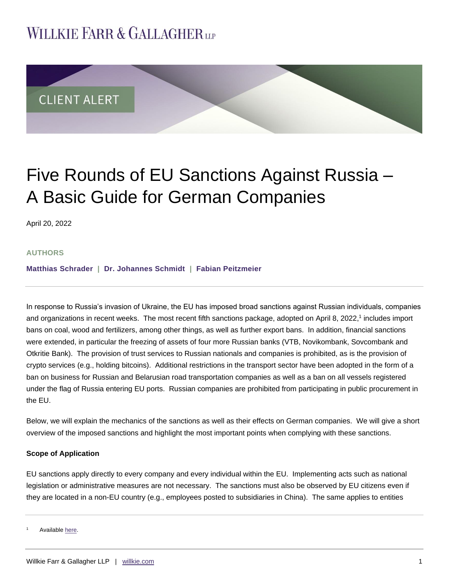## **WILLKIE FARR & GALLAGHERUP**



# Five Rounds of EU Sanctions Against Russia – A Basic Guide for German Companies

April 20, 2022

#### **AUTHORS**

**Matthias [Schrader](https://www.willkie.com/professionals/s/schrader-matthias) | [Dr. Johannes Schmidt](https://www.willkie.com/professionals/s/schmidt-johannes) | [Fabian Peitzmeier](https://www.willkie.com/professionals/p/peitzmeier-fabian)**

In response to Russia's invasion of Ukraine, the EU has imposed broad sanctions against Russian individuals, companies and organizations in recent weeks. The most recent fifth sanctions package, adopted on April 8, 2022,<sup>1</sup> includes import bans on coal, wood and fertilizers, among other things, as well as further export bans. In addition, financial sanctions were extended, in particular the freezing of assets of four more Russian banks (VTB, Novikombank, Sovcombank and Otkritie Bank). The provision of trust services to Russian nationals and companies is prohibited, as is the provision of crypto services (e.g., holding bitcoins). Additional restrictions in the transport sector have been adopted in the form of a ban on business for Russian and Belarusian road transportation companies as well as a ban on all vessels registered under the flag of Russia entering EU ports. Russian companies are prohibited from participating in public procurement in the EU.

Below, we will explain the mechanics of the sanctions as well as their effects on German companies. We will give a short overview of the imposed sanctions and highlight the most important points when complying with these sanctions.

#### **Scope of Application**

EU sanctions apply directly to every company and every individual within the EU. Implementing acts such as national legislation or administrative measures are not necessary. The sanctions must also be observed by EU citizens even if they are located in a non-EU country (e.g., employees posted to subsidiaries in China). The same applies to entities

Available here.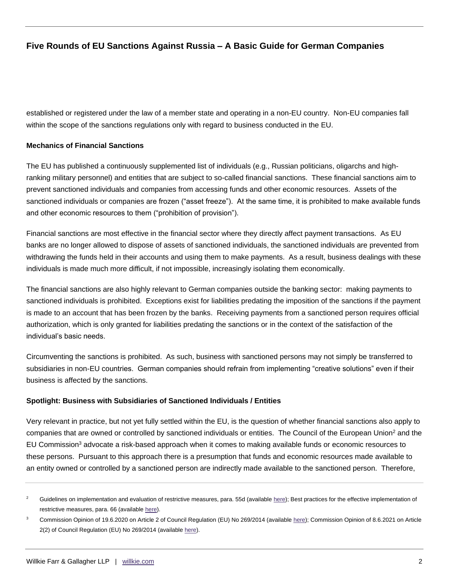established or registered under the law of a member state and operating in a non-EU country. Non-EU companies fall within the scope of the sanctions regulations only with regard to business conducted in the EU.

#### **Mechanics of Financial Sanctions**

The EU has published a continuously supplemented list of individuals (e.g., Russian politicians, oligarchs and highranking military personnel) and entities that are subject to so-called financial sanctions. These financial sanctions aim to prevent sanctioned individuals and companies from accessing funds and other economic resources. Assets of the sanctioned individuals or companies are frozen ("asset freeze"). At the same time, it is prohibited to make available funds and other economic resources to them ("prohibition of provision").

Financial sanctions are most effective in the financial sector where they directly affect payment transactions. As EU banks are no longer allowed to dispose of assets of sanctioned individuals, the sanctioned individuals are prevented from withdrawing the funds held in their accounts and using them to make payments. As a result, business dealings with these individuals is made much more difficult, if not impossible, increasingly isolating them economically.

The financial sanctions are also highly relevant to German companies outside the banking sector: making payments to sanctioned individuals is prohibited. Exceptions exist for liabilities predating the imposition of the sanctions if the payment is made to an account that has been frozen by the banks. Receiving payments from a sanctioned person requires official authorization, which is only granted for liabilities predating the sanctions or in the context of the satisfaction of the individual's basic needs.

Circumventing the sanctions is prohibited. As such, business with sanctioned persons may not simply be transferred to subsidiaries in non-EU countries. German companies should refrain from implementing "creative solutions" even if their business is affected by the sanctions.

#### **Spotlight: Business with Subsidiaries of Sanctioned Individuals / Entities**

Very relevant in practice, but not yet fully settled within the EU, is the question of whether financial sanctions also apply to companies that are owned or controlled by sanctioned individuals or entities. The Council of the European Union<sup>2</sup> and the EU Commission<sup>3</sup> advocate a risk-based approach when it comes to making available funds or economic resources to these persons. Pursuant to this approach there is a presumption that funds and economic resources made available to an entity owned or controlled by a sanctioned person are indirectly made available to the sanctioned person. Therefore,

Guidelines on implementation and evaluation of restrictive measures, para. 55d (available [here\);](https://data.consilium.europa.eu/doc/document/ST-5664-2018-INIT/en/pdf) Best practices for the effective implementation of restrictive measures, para. 66 (available [here\)](https://data.consilium.europa.eu/doc/document/ST-8519-2018-INIT/en/pdf).

<sup>&</sup>lt;sup>3</sup> Commission Opinion of 19.6.2020 on Article 2 of Council Regulation (EU) No 269/2014 (availabl[e here\)](https://ec.europa.eu/info/sites/default/files/200619-opinion-financial-sanctions_en.pdf); Commission Opinion of 8.6.2021 on Article 2(2) of Council Regulation (EU) No 269/2014 (available [here\)](https://ec.europa.eu/info/sites/default/files/business_economy_euro/banking_and_finance/documents/210608-ukraine-opinion_en_0.pdf).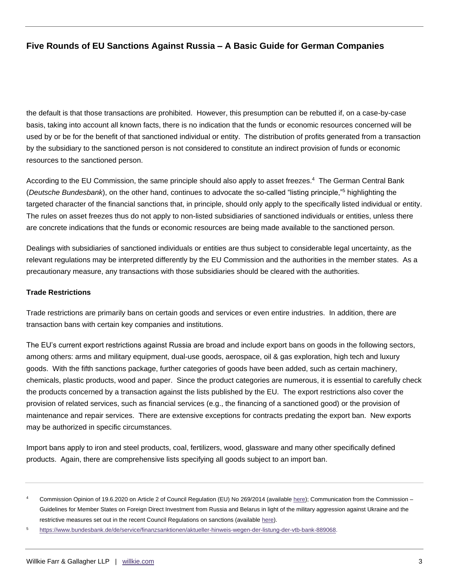the default is that those transactions are prohibited. However, this presumption can be rebutted if, on a case-by-case basis, taking into account all known facts, there is no indication that the funds or economic resources concerned will be used by or be for the benefit of that sanctioned individual or entity. The distribution of profits generated from a transaction by the subsidiary to the sanctioned person is not considered to constitute an indirect provision of funds or economic resources to the sanctioned person.

According to the EU Commission, the same principle should also apply to asset freezes.<sup>4</sup> The German Central Bank (*Deutsche Bundesbank*), on the other hand, continues to advocate the so-called "listing principle,"<sup>5</sup> highlighting the targeted character of the financial sanctions that, in principle, should only apply to the specifically listed individual or entity. The rules on asset freezes thus do not apply to non-listed subsidiaries of sanctioned individuals or entities, unless there are concrete indications that the funds or economic resources are being made available to the sanctioned person.

Dealings with subsidiaries of sanctioned individuals or entities are thus subject to considerable legal uncertainty, as the relevant regulations may be interpreted differently by the EU Commission and the authorities in the member states. As a precautionary measure, any transactions with those subsidiaries should be cleared with the authorities.

#### **Trade Restrictions**

Trade restrictions are primarily bans on certain goods and services or even entire industries. In addition, there are transaction bans with certain key companies and institutions.

The EU's current export restrictions against Russia are broad and include export bans on goods in the following sectors, among others: arms and military equipment, dual-use goods, aerospace, oil & gas exploration, high tech and luxury goods. With the fifth sanctions package, further categories of goods have been added, such as certain machinery, chemicals, plastic products, wood and paper. Since the product categories are numerous, it is essential to carefully check the products concerned by a transaction against the lists published by the EU. The export restrictions also cover the provision of related services, such as financial services (e.g., the financing of a sanctioned good) or the provision of maintenance and repair services. There are extensive exceptions for contracts predating the export ban. New exports may be authorized in specific circumstances.

Import bans apply to iron and steel products, coal, fertilizers, wood, glassware and many other specifically defined products. Again, there are comprehensive lists specifying all goods subject to an import ban.

Commission Opinion of 19.6.2020 on Article 2 of Council Regulation (EU) No 269/2014 (availabl[e here\)](https://ec.europa.eu/info/sites/default/files/business_economy_euro/banking_and_finance/documents/200619-opinion-financial-sanctions_de.pdf); Communication from the Commission -Guidelines for Member States on Foreign Direct Investment from Russia and Belarus in light of the military aggression against Ukraine and the restrictive measures set out in the recent Council Regulations on sanctions (available [here\).](https://eur-lex.europa.eu/legal-content/EN/TXT/HTML/?uri=OJ:C:2022:151I:FULL&from=EN)

<sup>5</sup> [https://www.bundesbank.de/de/service/finanzsanktionen/aktueller-hinweis-wegen-der-listung-der-vtb-bank-889068.](https://www.bundesbank.de/de/service/finanzsanktionen/aktueller-hinweis-wegen-der-listung-der-vtb-bank-889068)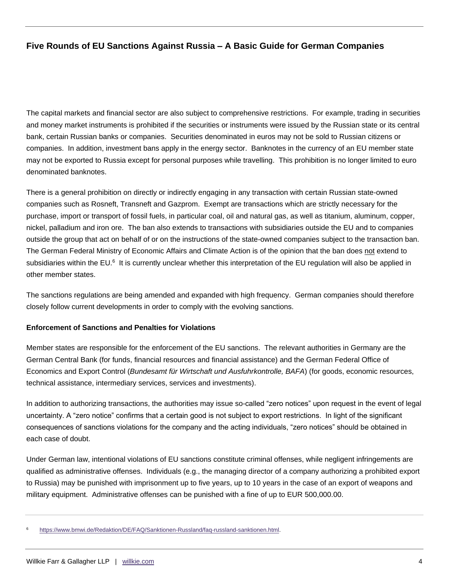The capital markets and financial sector are also subject to comprehensive restrictions. For example, trading in securities and money market instruments is prohibited if the securities or instruments were issued by the Russian state or its central bank, certain Russian banks or companies. Securities denominated in euros may not be sold to Russian citizens or companies. In addition, investment bans apply in the energy sector. Banknotes in the currency of an EU member state may not be exported to Russia except for personal purposes while travelling. This prohibition is no longer limited to euro denominated banknotes.

There is a general prohibition on directly or indirectly engaging in any transaction with certain Russian state-owned companies such as Rosneft, Transneft and Gazprom. Exempt are transactions which are strictly necessary for the purchase, import or transport of fossil fuels, in particular coal, oil and natural gas, as well as titanium, aluminum, copper, nickel, palladium and iron ore. The ban also extends to transactions with subsidiaries outside the EU and to companies outside the group that act on behalf of or on the instructions of the state-owned companies subject to the transaction ban. The German Federal Ministry of Economic Affairs and Climate Action is of the opinion that the ban does not extend to subsidiaries within the EU.<sup>6</sup> It is currently unclear whether this interpretation of the EU regulation will also be applied in other member states.

The sanctions regulations are being amended and expanded with high frequency. German companies should therefore closely follow current developments in order to comply with the evolving sanctions.

#### **Enforcement of Sanctions and Penalties for Violations**

Member states are responsible for the enforcement of the EU sanctions. The relevant authorities in Germany are the German Central Bank (for funds, financial resources and financial assistance) and the German Federal Office of Economics and Export Control (*Bundesamt für Wirtschaft und Ausfuhrkontrolle, BAFA*) (for goods, economic resources, technical assistance, intermediary services, services and investments).

In addition to authorizing transactions, the authorities may issue so-called "zero notices" upon request in the event of legal uncertainty. A "zero notice" confirms that a certain good is not subject to export restrictions. In light of the significant consequences of sanctions violations for the company and the acting individuals, "zero notices" should be obtained in each case of doubt.

Under German law, intentional violations of EU sanctions constitute criminal offenses, while negligent infringements are qualified as administrative offenses. Individuals (e.g., the managing director of a company authorizing a prohibited export to Russia) may be punished with imprisonment up to five years, up to 10 years in the case of an export of weapons and military equipment. Administrative offenses can be punished with a fine of up to EUR 500,000.00.

<sup>6</sup> [https://www.bmwi.de/Redaktion/DE/FAQ/Sanktionen-Russland/faq-russland-sanktionen.html.](https://www.bmwi.de/Redaktion/DE/FAQ/Sanktionen-Russland/faq-russland-sanktionen.html)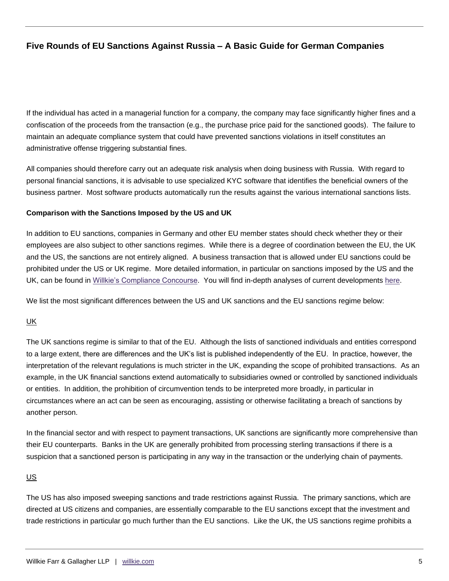If the individual has acted in a managerial function for a company, the company may face significantly higher fines and a confiscation of the proceeds from the transaction (e.g., the purchase price paid for the sanctioned goods). The failure to maintain an adequate compliance system that could have prevented sanctions violations in itself constitutes an administrative offense triggering substantial fines.

All companies should therefore carry out an adequate risk analysis when doing business with Russia. With regard to personal financial sanctions, it is advisable to use specialized KYC software that identifies the beneficial owners of the business partner. Most software products automatically run the results against the various international sanctions lists.

#### **Comparison with the Sanctions Imposed by the US and UK**

In addition to EU sanctions, companies in Germany and other EU member states should check whether they or their employees are also subject to other sanctions regimes. While there is a degree of coordination between the EU, the UK and the US, the sanctions are not entirely aligned. A business transaction that is allowed under EU sanctions could be prohibited under the US or UK regime. More detailed information, in particular on sanctions imposed by the US and the UK, can be found in [Willkie's Compliance Concourse.](https://complianceconcourse.willkie.com/resources/topics/sanctions-us) You will find in-depth analyses of current developments [here.](https://complianceconcourse.willkie.com/articles)

We list the most significant differences between the US and UK sanctions and the EU sanctions regime below:

#### UK

The UK sanctions regime is similar to that of the EU. Although the lists of sanctioned individuals and entities correspond to a large extent, there are differences and the UK's list is published independently of the EU. In practice, however, the interpretation of the relevant regulations is much stricter in the UK, expanding the scope of prohibited transactions. As an example, in the UK financial sanctions extend automatically to subsidiaries owned or controlled by sanctioned individuals or entities. In addition, the prohibition of circumvention tends to be interpreted more broadly, in particular in circumstances where an act can be seen as encouraging, assisting or otherwise facilitating a breach of sanctions by another person.

In the financial sector and with respect to payment transactions, UK sanctions are significantly more comprehensive than their EU counterparts. Banks in the UK are generally prohibited from processing sterling transactions if there is a suspicion that a sanctioned person is participating in any way in the transaction or the underlying chain of payments.

#### US

The US has also imposed sweeping sanctions and trade restrictions against Russia. The primary sanctions, which are directed at US citizens and companies, are essentially comparable to the EU sanctions except that the investment and trade restrictions in particular go much further than the EU sanctions. Like the UK, the US sanctions regime prohibits a